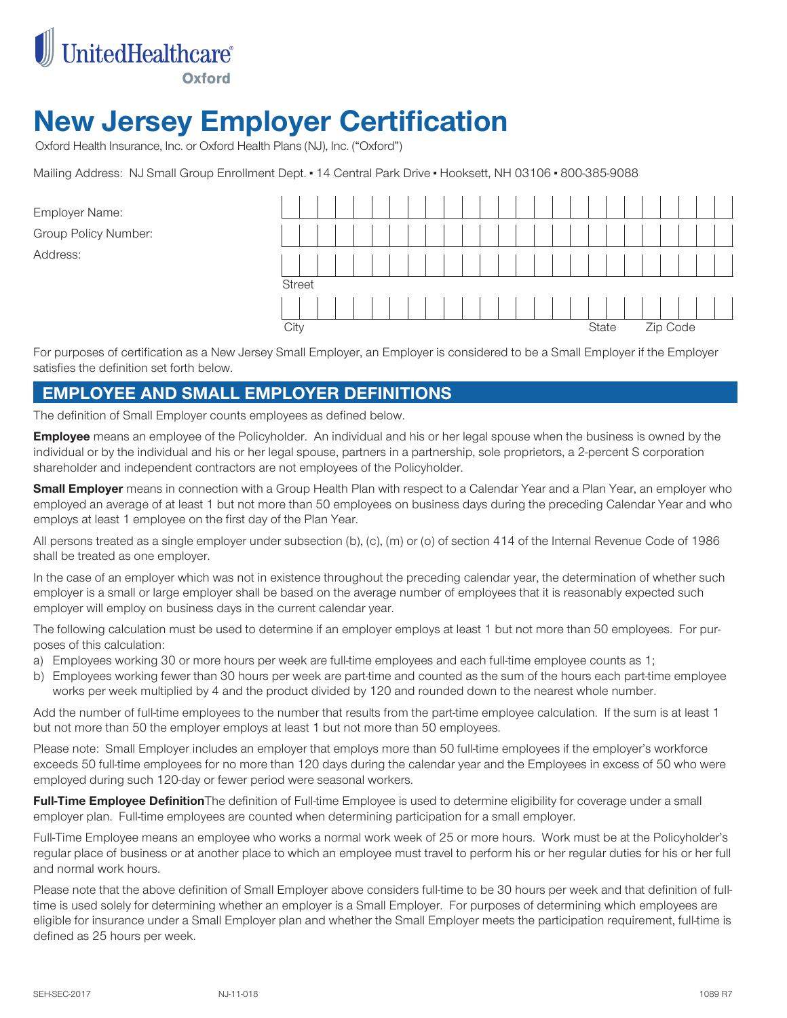

# **New Jersey Employer Certification**

Oxford Health Insurance, Inc. or Oxford Health Plans (NJ), Inc. ("Oxford")

Mailing Address: NJ Small Group Enrollment Dept. - 14 Central Park Drive - Hooksett, NH 03106 - 800-385-9088

Employer Name: Group Policy Number: Address:

|               |  |  |  | $\mathbf{1}$ |  |  | l. |       |  |  |          |  |
|---------------|--|--|--|--------------|--|--|----|-------|--|--|----------|--|
|               |  |  |  |              |  |  |    |       |  |  |          |  |
|               |  |  |  | $\mathbf{1}$ |  |  | L  |       |  |  |          |  |
| <b>Street</b> |  |  |  |              |  |  |    |       |  |  |          |  |
|               |  |  |  |              |  |  |    |       |  |  |          |  |
| City          |  |  |  |              |  |  |    | State |  |  | Zip Code |  |

For purposes of certification as a New Jersey Small Employer, an Employer is considered to be a Small Employer if the Employer satisfies the definition set forth below.

#### **EMPLOYEE AND SMALL EMPLOYER DEFINITIONS**

The definition of Small Employer counts employees as defined below.

**Employee** means an employee of the Policyholder. An individual and his or her legal spouse when the business is owned by the individual or by the individual and his or her legal spouse, partners in a partnership, sole proprietors, a 2-percent S corporation shareholder and independent contractors are not employees of the Policyholder.

**Small Employer** means in connection with a Group Health Plan with respect to a Calendar Year and a Plan Year, an employer who employed an average of at least 1 but not more than 50 employees on business days during the preceding Calendar Year and who employs at least 1 employee on the first day of the Plan Year.

All persons treated as a single employer under subsection (b), (c), (m) or (o) of section 414 of the Internal Revenue Code of 1986 shall be treated as one employer.

In the case of an employer which was not in existence throughout the preceding calendar year, the determination of whether such employer is a small or large employer shall be based on the average number of employees that it is reasonably expected such employer will employ on business days in the current calendar year.

The following calculation must be used to determine if an employer employs at least 1 but not more than 50 employees. For purposes of this calculation:

- a) Employees working 30 or more hours per week are full-time employees and each full-time employee counts as 1;
- b) Employees working fewer than 30 hours per week are part-time and counted as the sum of the hours each part-time employee works per week multiplied by 4 and the product divided by 120 and rounded down to the nearest whole number.

Add the number of full-time employees to the number that results from the part-time employee calculation. If the sum is at least 1 but not more than 50 the employer employs at least 1 but not more than 50 employees.

Please note: Small Employer includes an employer that employs more than 50 full-time employees if the employer's workforce exceeds 50 full-time employees for no more than 120 days during the calendar year and the Employees in excess of 50 who were employed during such 120-day or fewer period were seasonal workers.

**Full-Time Employee Definition**The definition of Full-time Employee is used to determine eligibility for coverage under a small employer plan. Full-time employees are counted when determining participation for a small employer.

Full-Time Employee means an employee who works a normal work week of 25 or more hours. Work must be at the Policyholder's regular place of business or at another place to which an employee must travel to perform his or her regular duties for his or her full and normal work hours.

Please note that the above definition of Small Employer above considers full-time to be 30 hours per week and that definition of fulltime is used solely for determining whether an employer is a Small Employer. For purposes of determining which employees are eligible for insurance under a Small Employer plan and whether the Small Employer meets the participation requirement, full-time is defined as 25 hours per week.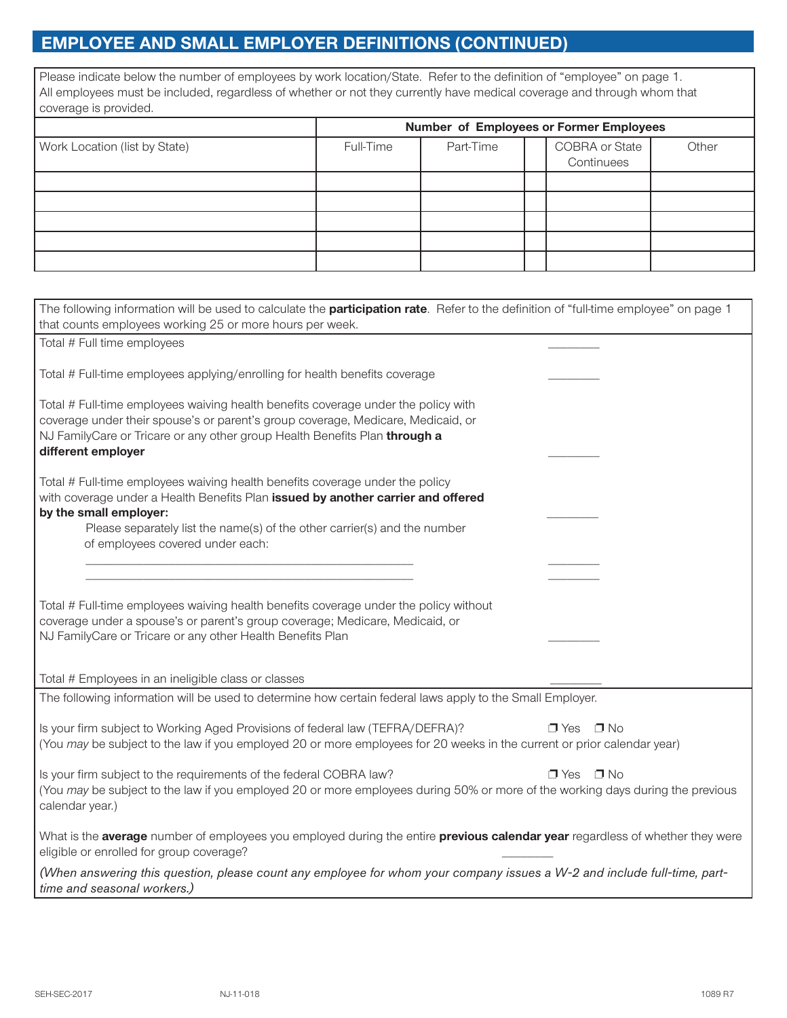## **EMPLOYEE AND SMALL EMPLOYER DEFINITIONS (CONTINUED)**

Please indicate below the number of employees by work location/State. Refer to the definition of "employee" on page 1. All employees must be included, regardless of whether or not they currently have medical coverage and through whom that coverage is provided.

|                               | Number of Employees or Former Employees |           |  |                              |       |  |  |  |  |
|-------------------------------|-----------------------------------------|-----------|--|------------------------------|-------|--|--|--|--|
| Work Location (list by State) | Full-Time                               | Part-Time |  | COBRA or State<br>Continuees | Other |  |  |  |  |
|                               |                                         |           |  |                              |       |  |  |  |  |
|                               |                                         |           |  |                              |       |  |  |  |  |
|                               |                                         |           |  |                              |       |  |  |  |  |
|                               |                                         |           |  |                              |       |  |  |  |  |
|                               |                                         |           |  |                              |       |  |  |  |  |

| The following information will be used to calculate the <b>participation rate</b> . Refer to the definition of "full-time employee" on page 1<br>that counts employees working 25 or more hours per week.                                                                  |                    |  |  |  |  |  |  |  |  |
|----------------------------------------------------------------------------------------------------------------------------------------------------------------------------------------------------------------------------------------------------------------------------|--------------------|--|--|--|--|--|--|--|--|
| Total # Full time employees                                                                                                                                                                                                                                                |                    |  |  |  |  |  |  |  |  |
| Total # Full-time employees applying/enrolling for health benefits coverage                                                                                                                                                                                                |                    |  |  |  |  |  |  |  |  |
| Total # Full-time employees waiving health benefits coverage under the policy with<br>coverage under their spouse's or parent's group coverage, Medicare, Medicaid, or<br>NJ FamilyCare or Tricare or any other group Health Benefits Plan through a<br>different employer |                    |  |  |  |  |  |  |  |  |
| Total # Full-time employees waiving health benefits coverage under the policy<br>with coverage under a Health Benefits Plan issued by another carrier and offered<br>by the small employer:                                                                                |                    |  |  |  |  |  |  |  |  |
| Please separately list the name(s) of the other carrier(s) and the number<br>of employees covered under each:                                                                                                                                                              |                    |  |  |  |  |  |  |  |  |
|                                                                                                                                                                                                                                                                            |                    |  |  |  |  |  |  |  |  |
| Total # Full-time employees waiving health benefits coverage under the policy without<br>coverage under a spouse's or parent's group coverage; Medicare, Medicaid, or<br>NJ FamilyCare or Tricare or any other Health Benefits Plan                                        |                    |  |  |  |  |  |  |  |  |
| Total # Employees in an ineligible class or classes                                                                                                                                                                                                                        |                    |  |  |  |  |  |  |  |  |
| The following information will be used to determine how certain federal laws apply to the Small Employer.                                                                                                                                                                  |                    |  |  |  |  |  |  |  |  |
| Is your firm subject to Working Aged Provisions of federal law (TEFRA/DEFRA)?<br>(You may be subject to the law if you employed 20 or more employees for 20 weeks in the current or prior calendar year)                                                                   | □ Yes<br>$\Box$ No |  |  |  |  |  |  |  |  |
| Is your firm subject to the requirements of the federal COBRA law?<br>$\Box$ Yes<br>(You may be subject to the law if you employed 20 or more employees during 50% or more of the working days during the previous<br>calendar year.)                                      | $\Box$ No          |  |  |  |  |  |  |  |  |
| What is the average number of employees you employed during the entire previous calendar year regardless of whether they were<br>eligible or enrolled for group coverage?                                                                                                  |                    |  |  |  |  |  |  |  |  |
| (When answering this question, please count any employee for whom your company issues a W-2 and include full-time, part-<br>time and seasonal workers.)                                                                                                                    |                    |  |  |  |  |  |  |  |  |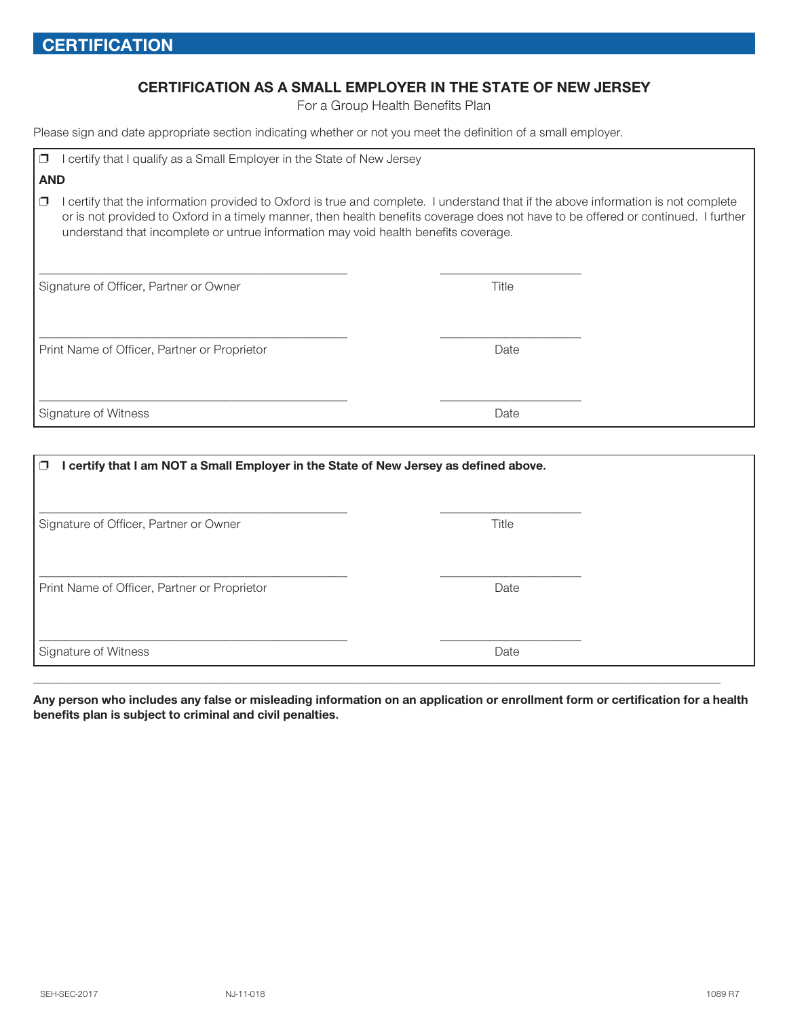#### **CERTIFICATION AS A SMALL EMPLOYER IN THE STATE OF NEW JERSEY**

For a Group Health Benefits Plan

Please sign and date appropriate section indicating whether or not you meet the definition of a small employer.

| certify that I qualify as a Small Employer in the State of New Jersey<br>⊓                                                                                                                                                                                                                                                                                              |       |  |  |  |  |  |  |  |  |  |  |
|-------------------------------------------------------------------------------------------------------------------------------------------------------------------------------------------------------------------------------------------------------------------------------------------------------------------------------------------------------------------------|-------|--|--|--|--|--|--|--|--|--|--|
| <b>AND</b>                                                                                                                                                                                                                                                                                                                                                              |       |  |  |  |  |  |  |  |  |  |  |
| certify that the information provided to Oxford is true and complete. I understand that if the above information is not complete<br>$\Box$<br>or is not provided to Oxford in a timely manner, then health benefits coverage does not have to be offered or continued. I further<br>understand that incomplete or untrue information may void health benefits coverage. |       |  |  |  |  |  |  |  |  |  |  |
| Signature of Officer, Partner or Owner                                                                                                                                                                                                                                                                                                                                  | Title |  |  |  |  |  |  |  |  |  |  |
| Print Name of Officer, Partner or Proprietor                                                                                                                                                                                                                                                                                                                            | Date  |  |  |  |  |  |  |  |  |  |  |
| Signature of Witness                                                                                                                                                                                                                                                                                                                                                    | Date  |  |  |  |  |  |  |  |  |  |  |

| I certify that I am NOT a Small Employer in the State of New Jersey as defined above.<br>$\Box$ |       |
|-------------------------------------------------------------------------------------------------|-------|
| Signature of Officer, Partner or Owner                                                          | Title |
| Print Name of Officer, Partner or Proprietor                                                    | Date  |
| Signature of Witness                                                                            | Date  |

**Any person who includes any false or misleading information on an application or enrollment form or certification for a health benefits plan is subject to criminal and civil penalties.**

\_\_\_\_\_\_\_\_\_\_\_\_\_\_\_\_\_\_\_\_\_\_\_\_\_\_\_\_\_\_\_\_\_\_\_\_\_\_\_\_\_\_\_\_\_\_\_\_\_\_\_\_\_\_\_\_\_\_\_\_\_\_\_\_\_\_\_\_\_\_\_\_\_\_\_\_\_\_\_\_\_\_\_\_\_\_\_\_\_\_\_\_\_\_\_\_\_\_\_\_\_\_\_\_\_\_\_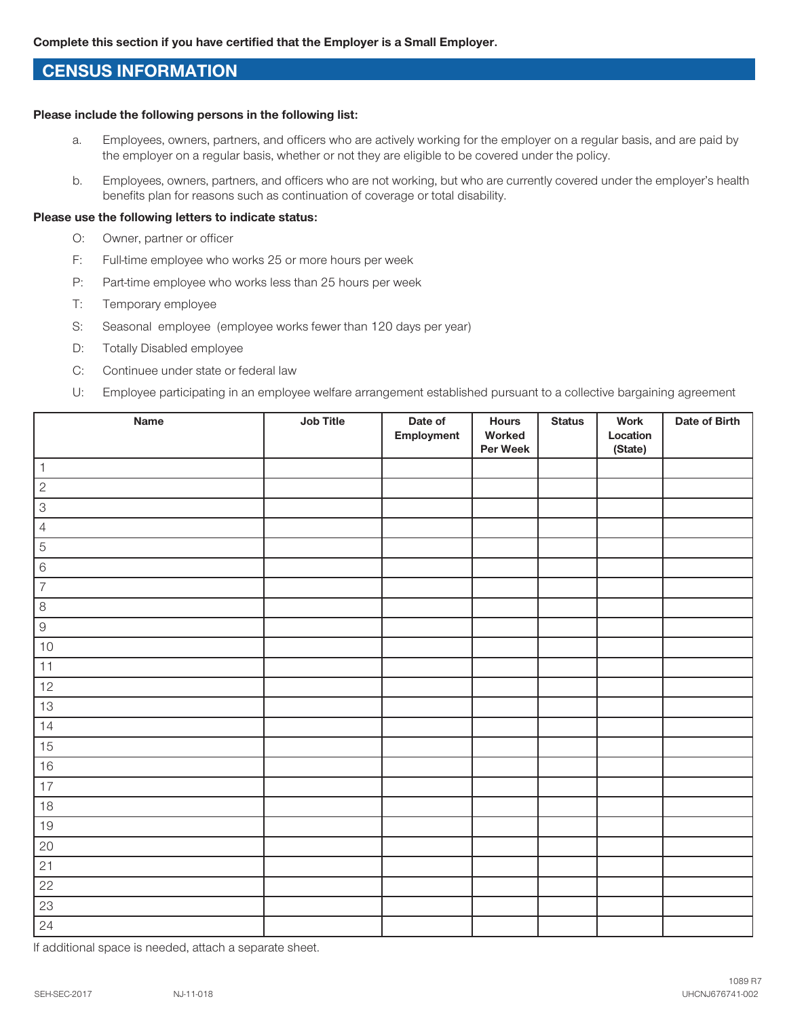### **CENSUS INFORMATION**

#### **Please include the following persons in the following list:**

- a. Employees, owners, partners, and officers who are actively working for the employer on a regular basis, and are paid by the employer on a regular basis, whether or not they are eligible to be covered under the policy.
- b. Employees, owners, partners, and officers who are not working, but who are currently covered under the employer's health benefits plan for reasons such as continuation of coverage or total disability.

#### **Please use the following letters to indicate status:**

- O: Owner, partner or officer
- F: Full-time employee who works 25 or more hours per week
- P: Part-time employee who works less than 25 hours per week
- T: Temporary employee
- S: Seasonal employee (employee works fewer than 120 days per year)
- D: Totally Disabled employee
- C: Continuee under state or federal law
- U: Employee participating in an employee welfare arrangement established pursuant to a collective bargaining agreement

| Name            | Job Title | Date of<br>Employment | <b>Hours</b><br>Worked<br>Per Week | <b>Status</b> | <b>Work</b><br>Location<br>(State) | Date of Birth |
|-----------------|-----------|-----------------------|------------------------------------|---------------|------------------------------------|---------------|
| $\overline{1}$  |           |                       |                                    |               |                                    |               |
| $\overline{2}$  |           |                       |                                    |               |                                    |               |
| $\overline{3}$  |           |                       |                                    |               |                                    |               |
| $\overline{4}$  |           |                       |                                    |               |                                    |               |
| $\overline{5}$  |           |                       |                                    |               |                                    |               |
| $\overline{6}$  |           |                       |                                    |               |                                    |               |
| $\overline{7}$  |           |                       |                                    |               |                                    |               |
| $\overline{8}$  |           |                       |                                    |               |                                    |               |
| $\hbox{9}$      |           |                       |                                    |               |                                    |               |
| $10$            |           |                       |                                    |               |                                    |               |
| 11              |           |                       |                                    |               |                                    |               |
| $12$            |           |                       |                                    |               |                                    |               |
| $13$            |           |                       |                                    |               |                                    |               |
| 14              |           |                       |                                    |               |                                    |               |
| 15              |           |                       |                                    |               |                                    |               |
| $16$            |           |                       |                                    |               |                                    |               |
| $17$            |           |                       |                                    |               |                                    |               |
| $18$            |           |                       |                                    |               |                                    |               |
| $19$            |           |                       |                                    |               |                                    |               |
| $\overline{20}$ |           |                       |                                    |               |                                    |               |
| 21              |           |                       |                                    |               |                                    |               |
| 22              |           |                       |                                    |               |                                    |               |
| 23              |           |                       |                                    |               |                                    |               |
| 24              |           |                       |                                    |               |                                    |               |

If additional space is needed, attach a separate sheet.